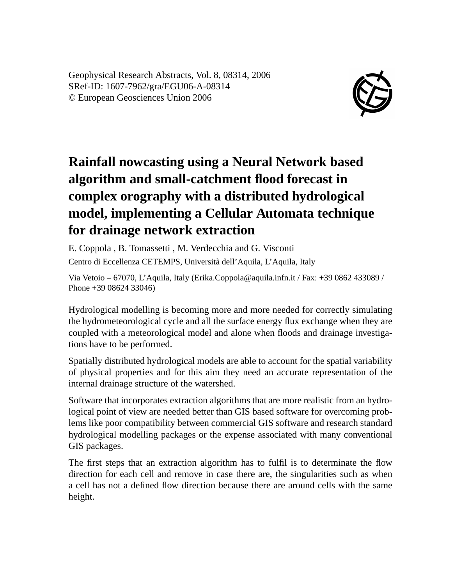Geophysical Research Abstracts, Vol. 8, 08314, 2006 SRef-ID: 1607-7962/gra/EGU06-A-08314 © European Geosciences Union 2006



## **Rainfall nowcasting using a Neural Network based algorithm and small-catchment flood forecast in complex orography with a distributed hydrological model, implementing a Cellular Automata technique for drainage network extraction**

E. Coppola , B. Tomassetti , M. Verdecchia and G. Visconti Centro di Eccellenza CETEMPS, Università dell'Aquila, L'Aquila, Italy

Via Vetoio – 67070, L'Aquila, Italy (Erika.Coppola@aquila.infn.it / Fax: +39 0862 433089 / Phone +39 08624 33046)

Hydrological modelling is becoming more and more needed for correctly simulating the hydrometeorological cycle and all the surface energy flux exchange when they are coupled with a meteorological model and alone when floods and drainage investigations have to be performed.

Spatially distributed hydrological models are able to account for the spatial variability of physical properties and for this aim they need an accurate representation of the internal drainage structure of the watershed.

Software that incorporates extraction algorithms that are more realistic from an hydrological point of view are needed better than GIS based software for overcoming problems like poor compatibility between commercial GIS software and research standard hydrological modelling packages or the expense associated with many conventional GIS packages.

The first steps that an extraction algorithm has to fulfil is to determinate the flow direction for each cell and remove in case there are, the singularities such as when a cell has not a defined flow direction because there are around cells with the same height.